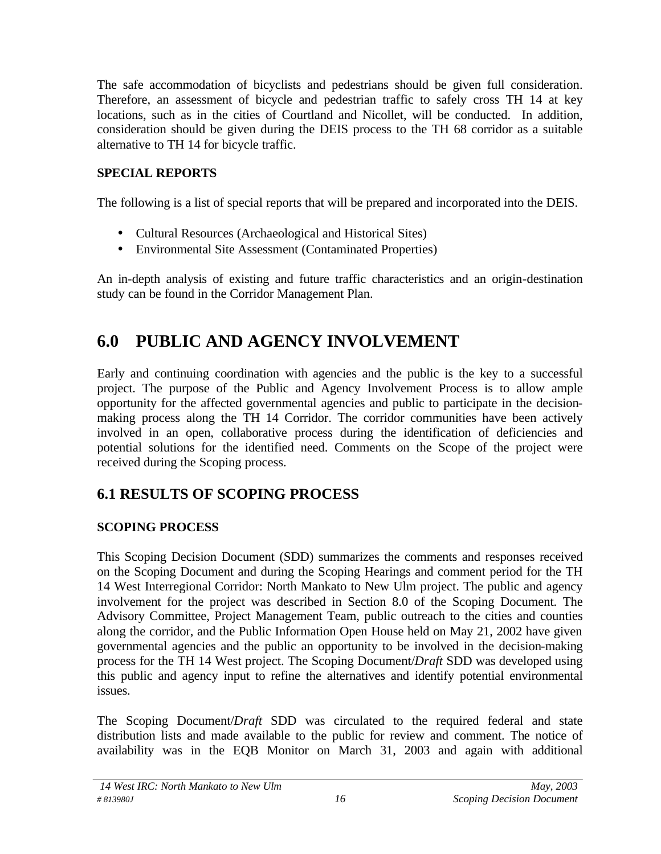The safe accommodation of bicyclists and pedestrians should be given full consideration. Therefore, an assessment of bicycle and pedestrian traffic to safely cross TH 14 at key locations, such as in the cities of Courtland and Nicollet, will be conducted. In addition, consideration should be given during the DEIS process to the TH 68 corridor as a suitable alternative to TH 14 for bicycle traffic.

## **SPECIAL REPORTS**

The following is a list of special reports that will be prepared and incorporated into the DEIS.

- Cultural Resources (Archaeological and Historical Sites)
- Environmental Site Assessment (Contaminated Properties)

An in-depth analysis of existing and future traffic characteristics and an origin-destination study can be found in the Corridor Management Plan.

# **6.0 PUBLIC AND AGENCY INVOLVEMENT**

Early and continuing coordination with agencies and the public is the key to a successful project. The purpose of the Public and Agency Involvement Process is to allow ample opportunity for the affected governmental agencies and public to participate in the decisionmaking process along the TH 14 Corridor. The corridor communities have been actively involved in an open, collaborative process during the identification of deficiencies and potential solutions for the identified need. Comments on the Scope of the project were received during the Scoping process.

## **6.1 RESULTS OF SCOPING PROCESS**

## **SCOPING PROCESS**

This Scoping Decision Document (SDD) summarizes the comments and responses received on the Scoping Document and during the Scoping Hearings and comment period for the TH 14 West Interregional Corridor: North Mankato to New Ulm project. The public and agency involvement for the project was described in Section 8.0 of the Scoping Document. The Advisory Committee, Project Management Team, public outreach to the cities and counties along the corridor, and the Public Information Open House held on May 21, 2002 have given governmental agencies and the public an opportunity to be involved in the decision-making process for the TH 14 West project. The Scoping Document/*Draft* SDD was developed using this public and agency input to refine the alternatives and identify potential environmental issues.

The Scoping Document/*Draft* SDD was circulated to the required federal and state distribution lists and made available to the public for review and comment. The notice of availability was in the EQB Monitor on March 31, 2003 and again with additional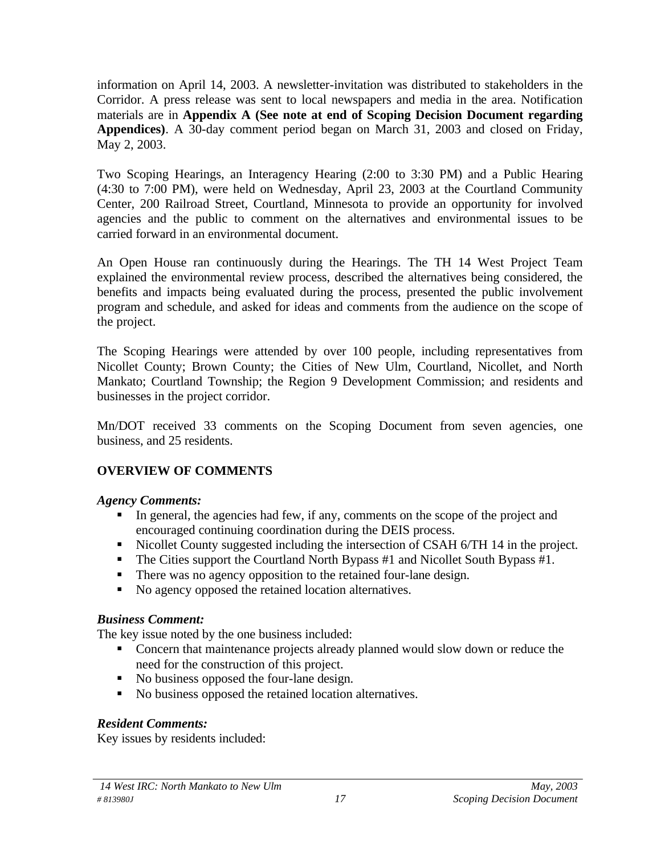information on April 14, 2003. A newsletter-invitation was distributed to stakeholders in the Corridor. A press release was sent to local newspapers and media in the area. Notification materials are in **Appendix A (See note at end of Scoping Decision Document regarding Appendices)**. A 30-day comment period began on March 31, 2003 and closed on Friday, May 2, 2003.

Two Scoping Hearings, an Interagency Hearing (2:00 to 3:30 PM) and a Public Hearing (4:30 to 7:00 PM), were held on Wednesday, April 23, 2003 at the Courtland Community Center, 200 Railroad Street, Courtland, Minnesota to provide an opportunity for involved agencies and the public to comment on the alternatives and environmental issues to be carried forward in an environmental document.

An Open House ran continuously during the Hearings. The TH 14 West Project Team explained the environmental review process, described the alternatives being considered, the benefits and impacts being evaluated during the process, presented the public involvement program and schedule, and asked for ideas and comments from the audience on the scope of the project.

The Scoping Hearings were attended by over 100 people, including representatives from Nicollet County; Brown County; the Cities of New Ulm, Courtland, Nicollet, and North Mankato; Courtland Township; the Region 9 Development Commission; and residents and businesses in the project corridor.

Mn/DOT received 33 comments on the Scoping Document from seven agencies, one business, and 25 residents.

## **OVERVIEW OF COMMENTS**

## *Agency Comments:*

- In general, the agencies had few, if any, comments on the scope of the project and encouraged continuing coordination during the DEIS process.
- Nicollet County suggested including the intersection of CSAH 6/TH 14 in the project.
- $\blacksquare$  The Cities support the Courtland North Bypass #1 and Nicollet South Bypass #1.
- There was no agency opposition to the retained four-lane design.
- No agency opposed the retained location alternatives.

## *Business Comment:*

The key issue noted by the one business included:

- Concern that maintenance projects already planned would slow down or reduce the need for the construction of this project.
- No business opposed the four-lane design.
- No business opposed the retained location alternatives.

## *Resident Comments:*

Key issues by residents included: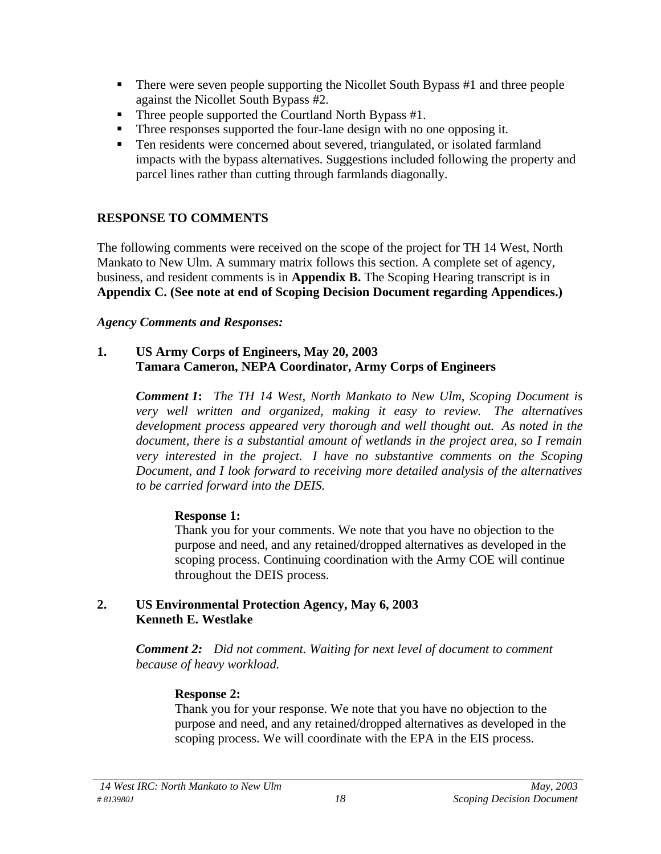- $\blacksquare$  There were seven people supporting the Nicollet South Bypass #1 and three people against the Nicollet South Bypass #2.
- Three people supported the Courtland North Bypass #1.
- Three responses supported the four-lane design with no one opposing it.
- Ten residents were concerned about severed, triangulated, or isolated farmland impacts with the bypass alternatives. Suggestions included following the property and parcel lines rather than cutting through farmlands diagonally.

## **RESPONSE TO COMMENTS**

The following comments were received on the scope of the project for TH 14 West, North Mankato to New Ulm. A summary matrix follows this section. A complete set of agency, business, and resident comments is in **Appendix B.** The Scoping Hearing transcript is in **Appendix C. (See note at end of Scoping Decision Document regarding Appendices.)**

## *Agency Comments and Responses:*

### **1. US Army Corps of Engineers, May 20, 2003 Tamara Cameron, NEPA Coordinator, Army Corps of Engineers**

*Comment 1***:** *The TH 14 West, North Mankato to New Ulm, Scoping Document is very well written and organized, making it easy to review. The alternatives development process appeared very thorough and well thought out. As noted in the document, there is a substantial amount of wetlands in the project area, so I remain very interested in the project. I have no substantive comments on the Scoping Document, and I look forward to receiving more detailed analysis of the alternatives to be carried forward into the DEIS.*

## **Response 1:**

Thank you for your comments. We note that you have no objection to the purpose and need, and any retained/dropped alternatives as developed in the scoping process. Continuing coordination with the Army COE will continue throughout the DEIS process.

#### **2. US Environmental Protection Agency, May 6, 2003 Kenneth E. Westlake**

*Comment 2: Did not comment. Waiting for next level of document to comment because of heavy workload.*

## **Response 2:**

Thank you for your response. We note that you have no objection to the purpose and need, and any retained/dropped alternatives as developed in the scoping process. We will coordinate with the EPA in the EIS process.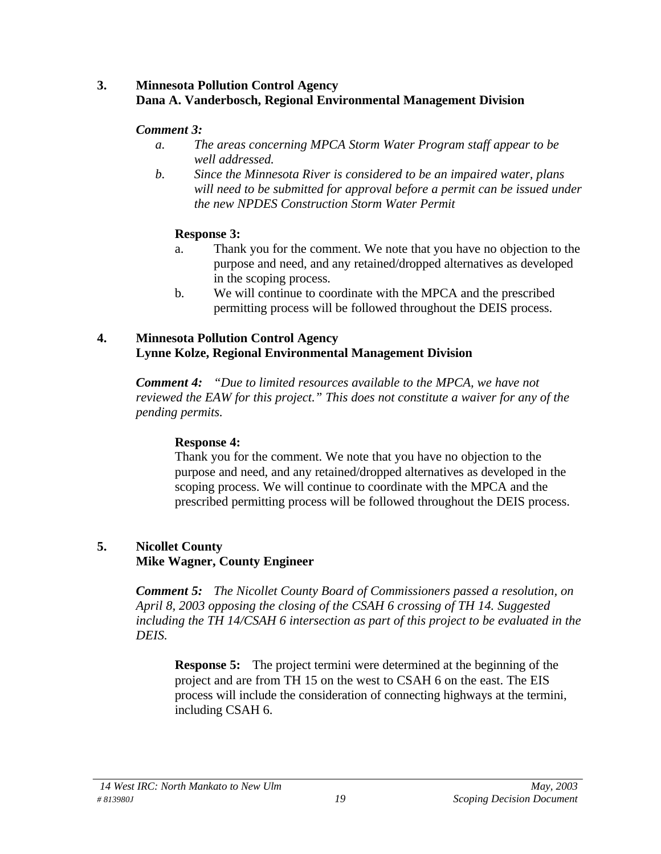#### **3. Minnesota Pollution Control Agency Dana A. Vanderbosch, Regional Environmental Management Division**

#### *Comment 3:*

- *a. The areas concerning MPCA Storm Water Program staff appear to be well addressed.*
- *b. Since the Minnesota River is considered to be an impaired water, plans will need to be submitted for approval before a permit can be issued under the new NPDES Construction Storm Water Permit*

#### **Response 3:**

- a. Thank you for the comment. We note that you have no objection to the purpose and need, and any retained/dropped alternatives as developed in the scoping process.
- b. We will continue to coordinate with the MPCA and the prescribed permitting process will be followed throughout the DEIS process.

#### **4. Minnesota Pollution Control Agency Lynne Kolze, Regional Environmental Management Division**

*Comment 4: "Due to limited resources available to the MPCA, we have not reviewed the EAW for this project." This does not constitute a waiver for any of the pending permits.*

## **Response 4:**

Thank you for the comment. We note that you have no objection to the purpose and need, and any retained/dropped alternatives as developed in the scoping process. We will continue to coordinate with the MPCA and the prescribed permitting process will be followed throughout the DEIS process.

## **5. Nicollet County**

#### **Mike Wagner, County Engineer**

*Comment 5: The Nicollet County Board of Commissioners passed a resolution, on April 8, 2003 opposing the closing of the CSAH 6 crossing of TH 14. Suggested including the TH 14/CSAH 6 intersection as part of this project to be evaluated in the DEIS.*

**Response 5:** The project termini were determined at the beginning of the project and are from TH 15 on the west to CSAH 6 on the east. The EIS process will include the consideration of connecting highways at the termini, including CSAH 6.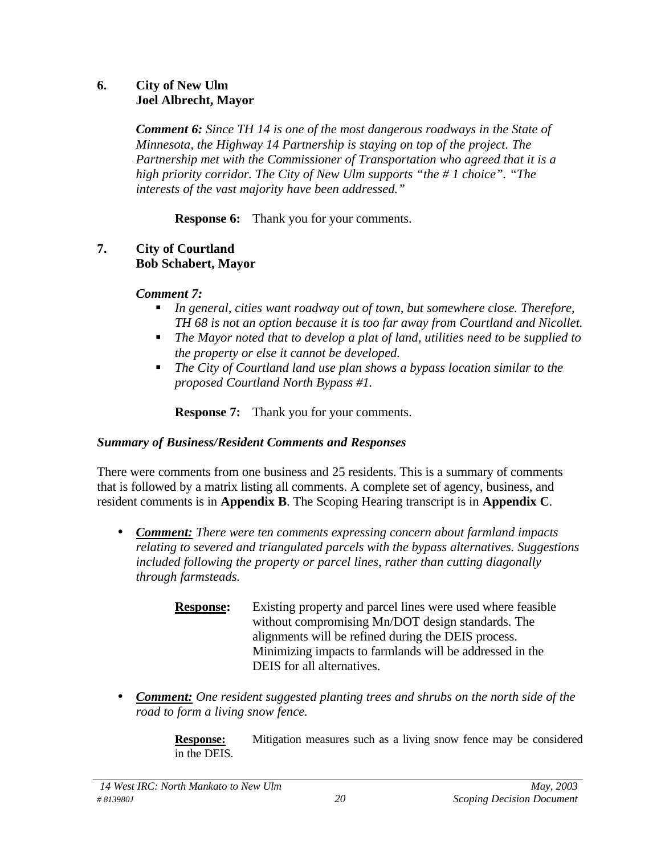#### **6. City of New Ulm Joel Albrecht, Mayor**

*Comment 6: Since TH 14 is one of the most dangerous roadways in the State of Minnesota, the Highway 14 Partnership is staying on top of the project. The Partnership met with the Commissioner of Transportation who agreed that it is a high priority corridor. The City of New Ulm supports "the # 1 choice". "The interests of the vast majority have been addressed."*

**Response 6:** Thank you for your comments.

#### **7. City of Courtland Bob Schabert, Mayor**

#### *Comment 7:*

- *In general, cities want roadway out of town, but somewhere close. Therefore, TH 68 is not an option because it is too far away from Courtland and Nicollet.*
- The Mayor noted that to develop a plat of land, utilities need to be supplied to *the property or else it cannot be developed.*
- *The City of Courtland land use plan shows a bypass location similar to the proposed Courtland North Bypass #1.*

**Response 7:** Thank you for your comments.

#### *Summary of Business/Resident Comments and Responses*

There were comments from one business and 25 residents. This is a summary of comments that is followed by a matrix listing all comments. A complete set of agency, business, and resident comments is in **Appendix B**. The Scoping Hearing transcript is in **Appendix C**.

- *Comment: There were ten comments expressing concern about farmland impacts relating to severed and triangulated parcels with the bypass alternatives. Suggestions included following the property or parcel lines, rather than cutting diagonally through farmsteads.*
	- **Response:** Existing property and parcel lines were used where feasible without compromising Mn/DOT design standards. The alignments will be refined during the DEIS process. Minimizing impacts to farmlands will be addressed in the DEIS for all alternatives.
- *Comment: One resident suggested planting trees and shrubs on the north side of the road to form a living snow fence.*

**Response:** Mitigation measures such as a living snow fence may be considered in the DEIS.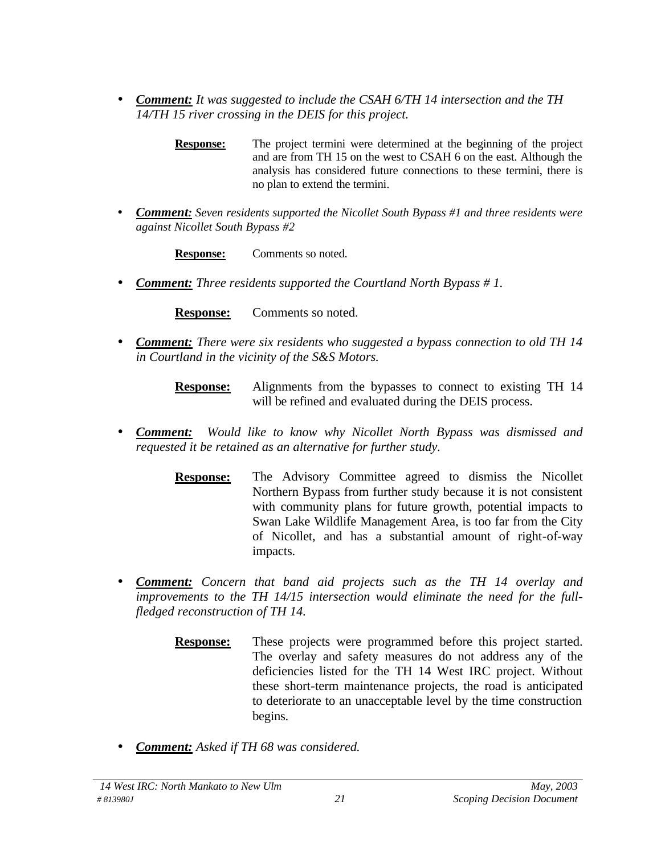- *Comment: It was suggested to include the CSAH 6/TH 14 intersection and the TH 14/TH 15 river crossing in the DEIS for this project.*
	- **Response:** The project termini were determined at the beginning of the project and are from TH 15 on the west to CSAH 6 on the east. Although the analysis has considered future connections to these termini, there is no plan to extend the termini.
- *Comment: Seven residents supported the Nicollet South Bypass #1 and three residents were against Nicollet South Bypass #2*

**Response:** Comments so noted.

• *Comment: Three residents supported the Courtland North Bypass # 1.*

**Response:** Comments so noted.

- *Comment: There were six residents who suggested a bypass connection to old TH 14 in Courtland in the vicinity of the S&S Motors.*
	- **Response:** Alignments from the bypasses to connect to existing TH 14 will be refined and evaluated during the DEIS process.
- *Comment: Would like to know why Nicollet North Bypass was dismissed and requested it be retained as an alternative for further study.*
	- **Response:** The Advisory Committee agreed to dismiss the Nicollet Northern Bypass from further study because it is not consistent with community plans for future growth, potential impacts to Swan Lake Wildlife Management Area, is too far from the City of Nicollet, and has a substantial amount of right-of-way impacts.
- *Comment: Concern that band aid projects such as the TH 14 overlay and improvements to the TH 14/15 intersection would eliminate the need for the fullfledged reconstruction of TH 14.*
	- **Response:** These projects were programmed before this project started. The overlay and safety measures do not address any of the deficiencies listed for the TH 14 West IRC project. Without these short-term maintenance projects, the road is anticipated to deteriorate to an unacceptable level by the time construction begins.
- *Comment: Asked if TH 68 was considered.*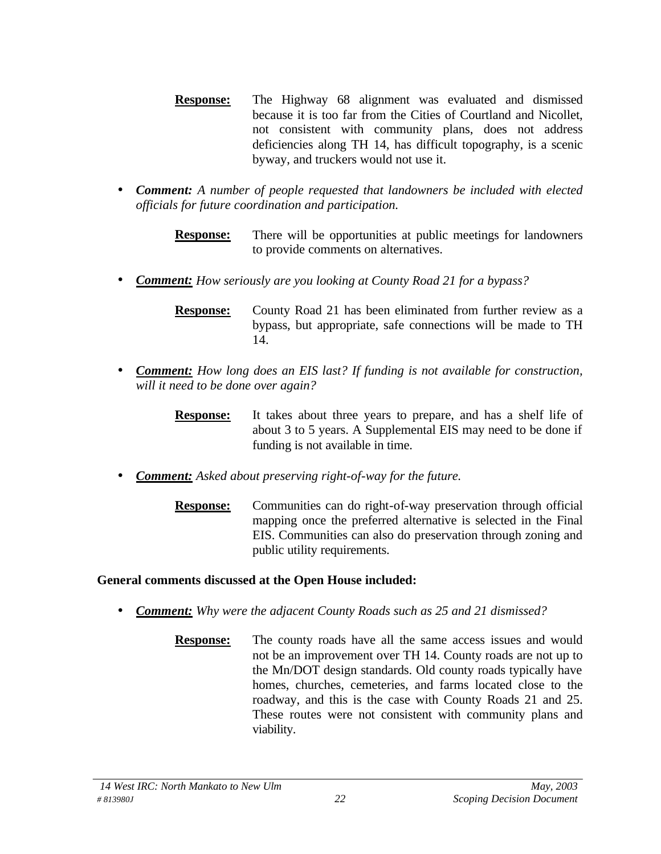- **Response:** The Highway 68 alignment was evaluated and dismissed because it is too far from the Cities of Courtland and Nicollet, not consistent with community plans, does not address deficiencies along TH 14, has difficult topography, is a scenic byway, and truckers would not use it.
- *Comment: A number of people requested that landowners be included with elected officials for future coordination and participation.*

**Response:** There will be opportunities at public meetings for landowners to provide comments on alternatives.

• *Comment: How seriously are you looking at County Road 21 for a bypass?*

**Response:** County Road 21 has been eliminated from further review as a bypass, but appropriate, safe connections will be made to TH 14.

- *Comment: How long does an EIS last? If funding is not available for construction, will it need to be done over again?*
	- **Response:** It takes about three years to prepare, and has a shelf life of about 3 to 5 years. A Supplemental EIS may need to be done if funding is not available in time.
- *Comment: Asked about preserving right-of-way for the future.*
	- **Response:** Communities can do right-of-way preservation through official mapping once the preferred alternative is selected in the Final EIS. Communities can also do preservation through zoning and public utility requirements.

## **General comments discussed at the Open House included:**

- *Comment: Why were the adjacent County Roads such as 25 and 21 dismissed?*
	- **Response:** The county roads have all the same access issues and would not be an improvement over TH 14. County roads are not up to the Mn/DOT design standards. Old county roads typically have homes, churches, cemeteries, and farms located close to the roadway, and this is the case with County Roads 21 and 25. These routes were not consistent with community plans and viability.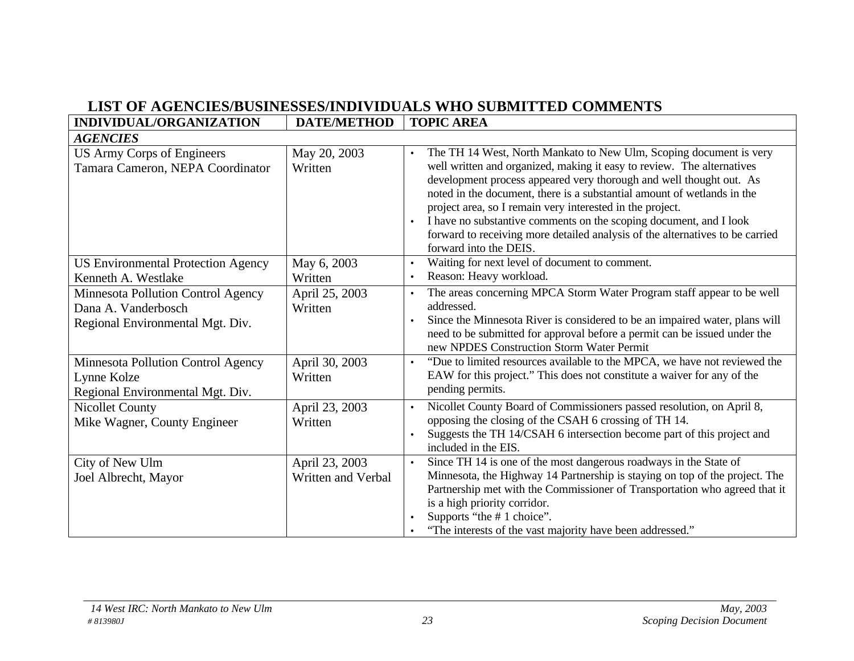## **LIST OF AGENCIES/BUSINESSES/INDIVIDUALS WHO SUBMITTED COMMENTS**

| INDIVIDUAL/ORGANIZATION                                                                       | <b>DATE/METHOD</b>                   | <b>TOPIC AREA</b>                                                                                                                                                                                                                                                                                                                                                                                                                                                                                                                                         |
|-----------------------------------------------------------------------------------------------|--------------------------------------|-----------------------------------------------------------------------------------------------------------------------------------------------------------------------------------------------------------------------------------------------------------------------------------------------------------------------------------------------------------------------------------------------------------------------------------------------------------------------------------------------------------------------------------------------------------|
| <b>AGENCIES</b>                                                                               |                                      |                                                                                                                                                                                                                                                                                                                                                                                                                                                                                                                                                           |
| US Army Corps of Engineers<br>Tamara Cameron, NEPA Coordinator                                | May 20, 2003<br>Written              | The TH 14 West, North Mankato to New Ulm, Scoping document is very<br>$\bullet$<br>well written and organized, making it easy to review. The alternatives<br>development process appeared very thorough and well thought out. As<br>noted in the document, there is a substantial amount of wetlands in the<br>project area, so I remain very interested in the project.<br>I have no substantive comments on the scoping document, and I look<br>forward to receiving more detailed analysis of the alternatives to be carried<br>forward into the DEIS. |
| <b>US Environmental Protection Agency</b>                                                     | May 6, 2003                          | Waiting for next level of document to comment.<br>$\bullet$                                                                                                                                                                                                                                                                                                                                                                                                                                                                                               |
| Kenneth A. Westlake                                                                           | Written                              | Reason: Heavy workload.<br>$\bullet$                                                                                                                                                                                                                                                                                                                                                                                                                                                                                                                      |
| Minnesota Pollution Control Agency<br>Dana A. Vanderbosch<br>Regional Environmental Mgt. Div. | April 25, 2003<br>Written            | The areas concerning MPCA Storm Water Program staff appear to be well<br>$\bullet$<br>addressed.<br>Since the Minnesota River is considered to be an impaired water, plans will<br>need to be submitted for approval before a permit can be issued under the<br>new NPDES Construction Storm Water Permit                                                                                                                                                                                                                                                 |
| Minnesota Pollution Control Agency<br>Lynne Kolze<br>Regional Environmental Mgt. Div.         | April 30, 2003<br>Written            | "Due to limited resources available to the MPCA, we have not reviewed the<br>$\bullet$<br>EAW for this project." This does not constitute a waiver for any of the<br>pending permits.                                                                                                                                                                                                                                                                                                                                                                     |
| <b>Nicollet County</b><br>Mike Wagner, County Engineer                                        | April 23, 2003<br>Written            | Nicollet County Board of Commissioners passed resolution, on April 8,<br>$\bullet$<br>opposing the closing of the CSAH 6 crossing of TH 14.<br>Suggests the TH 14/CSAH 6 intersection become part of this project and<br>included in the EIS.                                                                                                                                                                                                                                                                                                             |
| City of New Ulm<br>Joel Albrecht, Mayor                                                       | April 23, 2003<br>Written and Verbal | Since TH 14 is one of the most dangerous roadways in the State of<br>$\bullet$<br>Minnesota, the Highway 14 Partnership is staying on top of the project. The<br>Partnership met with the Commissioner of Transportation who agreed that it<br>is a high priority corridor.<br>Supports "the #1 choice".<br>"The interests of the vast majority have been addressed."                                                                                                                                                                                     |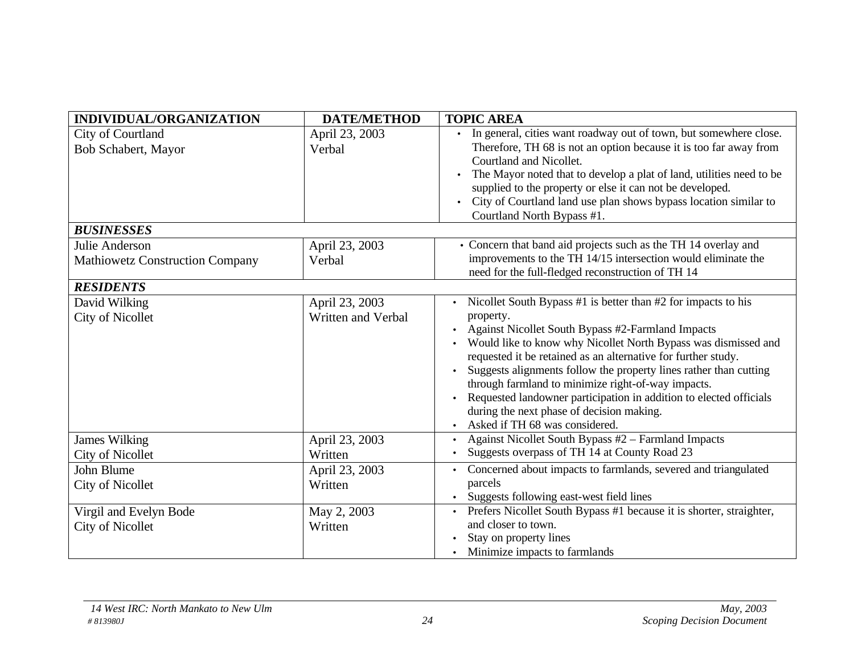| INDIVIDUAL/ORGANIZATION                                  | <b>DATE/METHOD</b>                   | <b>TOPIC AREA</b>                                                                                                                                                                                                                                                                                                                                                                                                                                                                                                                                  |
|----------------------------------------------------------|--------------------------------------|----------------------------------------------------------------------------------------------------------------------------------------------------------------------------------------------------------------------------------------------------------------------------------------------------------------------------------------------------------------------------------------------------------------------------------------------------------------------------------------------------------------------------------------------------|
| City of Courtland<br>Bob Schabert, Mayor                 | April 23, 2003<br>Verbal             | In general, cities want roadway out of town, but somewhere close.<br>Therefore, TH 68 is not an option because it is too far away from<br>Courtland and Nicollet.<br>The Mayor noted that to develop a plat of land, utilities need to be<br>supplied to the property or else it can not be developed.<br>City of Courtland land use plan shows bypass location similar to<br>Courtland North Bypass #1.                                                                                                                                           |
| <b>BUSINESSES</b>                                        |                                      |                                                                                                                                                                                                                                                                                                                                                                                                                                                                                                                                                    |
| Julie Anderson<br><b>Mathiowetz Construction Company</b> | April 23, 2003<br>Verbal             | • Concern that band aid projects such as the TH 14 overlay and<br>improvements to the TH 14/15 intersection would eliminate the<br>need for the full-fledged reconstruction of TH 14                                                                                                                                                                                                                                                                                                                                                               |
| <b>RESIDENTS</b>                                         |                                      |                                                                                                                                                                                                                                                                                                                                                                                                                                                                                                                                                    |
| David Wilking<br><b>City of Nicollet</b>                 | April 23, 2003<br>Written and Verbal | Nicollet South Bypass #1 is better than #2 for impacts to his<br>property.<br>Against Nicollet South Bypass #2-Farmland Impacts<br>Would like to know why Nicollet North Bypass was dismissed and<br>requested it be retained as an alternative for further study.<br>Suggests alignments follow the property lines rather than cutting<br>through farmland to minimize right-of-way impacts.<br>Requested landowner participation in addition to elected officials<br>during the next phase of decision making.<br>Asked if TH 68 was considered. |
| <b>James Wilking</b><br><b>City of Nicollet</b>          | April 23, 2003<br>Written            | Against Nicollet South Bypass #2 - Farmland Impacts<br>Suggests overpass of TH 14 at County Road 23                                                                                                                                                                                                                                                                                                                                                                                                                                                |
| John Blume<br><b>City of Nicollet</b>                    | April 23, 2003<br>Written            | Concerned about impacts to farmlands, severed and triangulated<br>parcels<br>Suggests following east-west field lines                                                                                                                                                                                                                                                                                                                                                                                                                              |
| Virgil and Evelyn Bode<br><b>City of Nicollet</b>        | May 2, 2003<br>Written               | Prefers Nicollet South Bypass #1 because it is shorter, straighter,<br>and closer to town.<br>Stay on property lines<br>Minimize impacts to farmlands                                                                                                                                                                                                                                                                                                                                                                                              |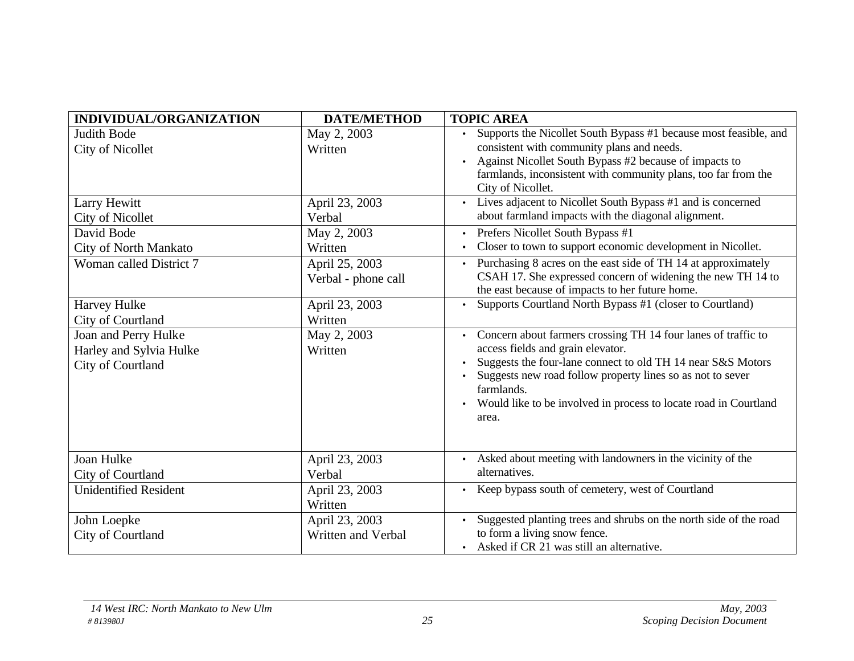| INDIVIDUAL/ORGANIZATION      | <b>DATE/METHOD</b>  | <b>TOPIC AREA</b>                                                             |
|------------------------------|---------------------|-------------------------------------------------------------------------------|
| <b>Judith Bode</b>           | May 2, 2003         | Supports the Nicollet South Bypass #1 because most feasible, and              |
| <b>City of Nicollet</b>      | Written             | consistent with community plans and needs.                                    |
|                              |                     | Against Nicollet South Bypass #2 because of impacts to                        |
|                              |                     | farmlands, inconsistent with community plans, too far from the                |
|                              |                     | City of Nicollet.                                                             |
| Larry Hewitt                 | April 23, 2003      | Lives adjacent to Nicollet South Bypass #1 and is concerned                   |
| City of Nicollet             | Verbal              | about farmland impacts with the diagonal alignment.                           |
| David Bode                   | May 2, 2003         | Prefers Nicollet South Bypass #1<br>$\bullet$                                 |
| City of North Mankato        | Written             | Closer to town to support economic development in Nicollet.                   |
| Woman called District 7      | April 25, 2003      | Purchasing 8 acres on the east side of TH 14 at approximately                 |
|                              | Verbal - phone call | CSAH 17. She expressed concern of widening the new TH 14 to                   |
|                              |                     | the east because of impacts to her future home.                               |
| Harvey Hulke                 | April 23, 2003      | Supports Courtland North Bypass #1 (closer to Courtland)                      |
| City of Courtland            | Written             |                                                                               |
| Joan and Perry Hulke         | May 2, 2003         | Concern about farmers crossing TH 14 four lanes of traffic to                 |
| Harley and Sylvia Hulke      | Written             | access fields and grain elevator.                                             |
| City of Courtland            |                     | Suggests the four-lane connect to old TH 14 near S&S Motors<br>$\bullet$      |
|                              |                     | Suggests new road follow property lines so as not to sever<br>farmlands.      |
|                              |                     | Would like to be involved in process to locate road in Courtland<br>$\bullet$ |
|                              |                     | area.                                                                         |
|                              |                     |                                                                               |
|                              |                     |                                                                               |
| <b>Joan Hulke</b>            | April 23, 2003      | Asked about meeting with landowners in the vicinity of the                    |
| City of Courtland            | Verbal              | alternatives.                                                                 |
| <b>Unidentified Resident</b> | April 23, 2003      | Keep bypass south of cemetery, west of Courtland                              |
|                              | Written             |                                                                               |
| John Loepke                  | April 23, 2003      | Suggested planting trees and shrubs on the north side of the road             |
| City of Courtland            | Written and Verbal  | to form a living snow fence.                                                  |
|                              |                     | • Asked if CR 21 was still an alternative.                                    |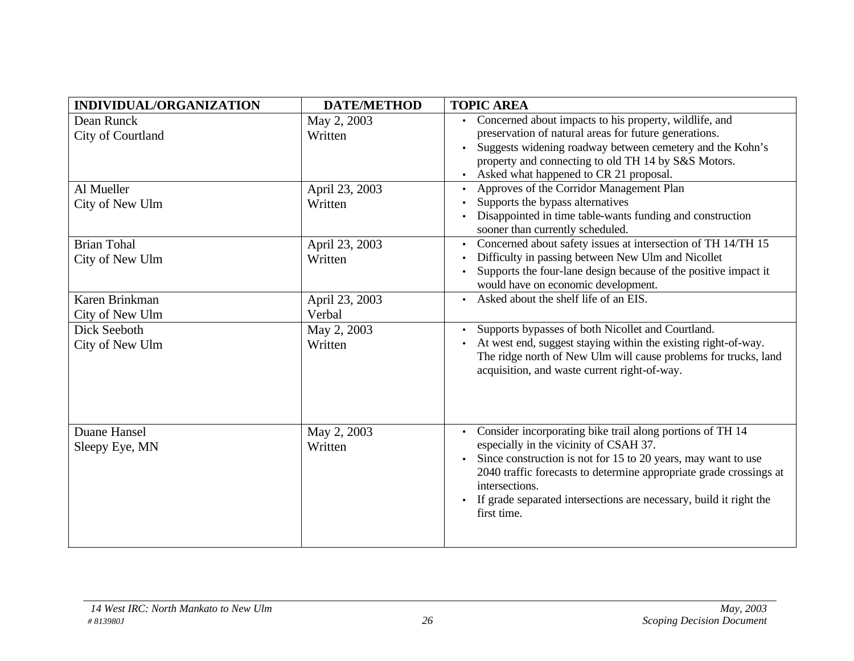| INDIVIDUAL/ORGANIZATION | <b>DATE/METHOD</b> | <b>TOPIC AREA</b>                                                                              |
|-------------------------|--------------------|------------------------------------------------------------------------------------------------|
| Dean Runck              | May 2, 2003        | Concerned about impacts to his property, wildlife, and                                         |
| City of Courtland       | Written            | preservation of natural areas for future generations.                                          |
|                         |                    | Suggests widening roadway between cemetery and the Kohn's                                      |
|                         |                    | property and connecting to old TH 14 by S&S Motors.                                            |
|                         |                    | Asked what happened to CR 21 proposal.                                                         |
| Al Mueller              | April 23, 2003     | Approves of the Corridor Management Plan                                                       |
| City of New Ulm         | Written            | Supports the bypass alternatives                                                               |
|                         |                    | Disappointed in time table-wants funding and construction<br>sooner than currently scheduled.  |
| <b>Brian Tohal</b>      | April 23, 2003     | Concerned about safety issues at intersection of TH 14/TH 15<br>$\bullet$                      |
| City of New Ulm         | Written            | Difficulty in passing between New Ulm and Nicollet                                             |
|                         |                    | Supports the four-lane design because of the positive impact it                                |
|                         |                    | would have on economic development.                                                            |
| Karen Brinkman          | April 23, 2003     | Asked about the shelf life of an EIS.                                                          |
| City of New Ulm         | Verbal             |                                                                                                |
| Dick Seeboth            | May 2, 2003        | Supports bypasses of both Nicollet and Courtland.                                              |
| City of New Ulm         | Written            | At west end, suggest staying within the existing right-of-way.                                 |
|                         |                    | The ridge north of New Ulm will cause problems for trucks, land                                |
|                         |                    | acquisition, and waste current right-of-way.                                                   |
|                         |                    |                                                                                                |
|                         |                    |                                                                                                |
|                         |                    |                                                                                                |
| Duane Hansel            | May 2, 2003        | Consider incorporating bike trail along portions of TH 14                                      |
| Sleepy Eye, MN          | Written            | especially in the vicinity of CSAH 37.                                                         |
|                         |                    | Since construction is not for 15 to 20 years, may want to use                                  |
|                         |                    | 2040 traffic forecasts to determine appropriate grade crossings at                             |
|                         |                    | intersections.                                                                                 |
|                         |                    | If grade separated intersections are necessary, build it right the<br>$\bullet$<br>first time. |
|                         |                    |                                                                                                |
|                         |                    |                                                                                                |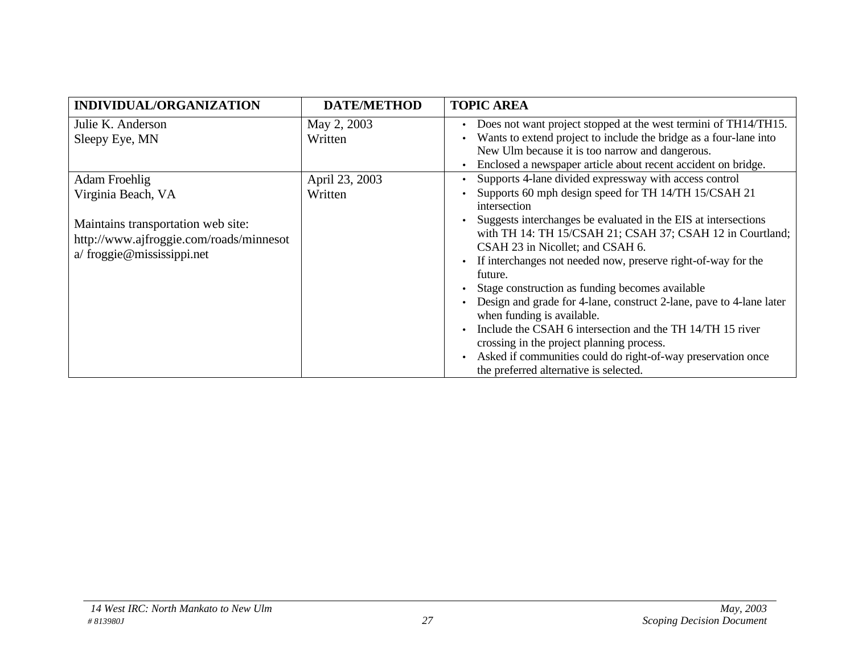| <b>INDIVIDUAL/ORGANIZATION</b>                                                                                                                            | <b>DATE/METHOD</b>        | <b>TOPIC AREA</b>                                                                                                                                                                                                                                                                                                                                                                                                                                                                                                                                                                                                                                                                                                                                                      |
|-----------------------------------------------------------------------------------------------------------------------------------------------------------|---------------------------|------------------------------------------------------------------------------------------------------------------------------------------------------------------------------------------------------------------------------------------------------------------------------------------------------------------------------------------------------------------------------------------------------------------------------------------------------------------------------------------------------------------------------------------------------------------------------------------------------------------------------------------------------------------------------------------------------------------------------------------------------------------------|
| Julie K. Anderson<br>Sleepy Eye, MN                                                                                                                       | May 2, 2003<br>Written    | Does not want project stopped at the west termini of TH14/TH15.<br>Wants to extend project to include the bridge as a four-lane into<br>New Ulm because it is too narrow and dangerous.<br>Enclosed a newspaper article about recent accident on bridge.                                                                                                                                                                                                                                                                                                                                                                                                                                                                                                               |
| <b>Adam Froehlig</b><br>Virginia Beach, VA<br>Maintains transportation web site:<br>http://www.ajfroggie.com/roads/minnesot<br>a/ froggie@mississippi.net | April 23, 2003<br>Written | Supports 4-lane divided expressway with access control<br>Supports 60 mph design speed for TH 14/TH 15/CSAH 21<br>intersection<br>Suggests interchanges be evaluated in the EIS at intersections<br>with TH 14: TH 15/CSAH 21; CSAH 37; CSAH 12 in Courtland;<br>CSAH 23 in Nicollet; and CSAH 6.<br>If interchanges not needed now, preserve right-of-way for the<br>future.<br>Stage construction as funding becomes available<br>Design and grade for 4-lane, construct 2-lane, pave to 4-lane later<br>when funding is available.<br>Include the CSAH 6 intersection and the TH 14/TH 15 river<br>crossing in the project planning process.<br>Asked if communities could do right-of-way preservation once<br>$\bullet$<br>the preferred alternative is selected. |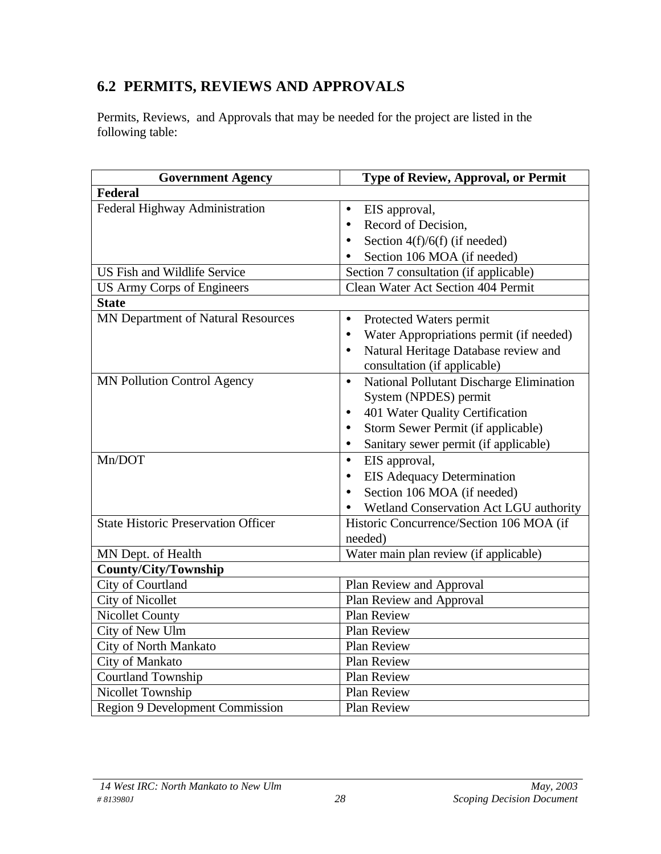## **6.2 PERMITS, REVIEWS AND APPROVALS**

Permits, Reviews, and Approvals that may be needed for the project are listed in the following table:

| <b>Government Agency</b>                   | Type of Review, Approval, or Permit                                               |
|--------------------------------------------|-----------------------------------------------------------------------------------|
| <b>Federal</b>                             |                                                                                   |
| Federal Highway Administration             | EIS approval,<br>$\bullet$                                                        |
|                                            | Record of Decision,<br>$\bullet$                                                  |
|                                            | Section $4(f)/6(f)$ (if needed)<br>$\bullet$                                      |
|                                            | Section 106 MOA (if needed)                                                       |
| <b>US Fish and Wildlife Service</b>        | Section 7 consultation (if applicable)                                            |
| <b>US Army Corps of Engineers</b>          | Clean Water Act Section 404 Permit                                                |
| <b>State</b>                               |                                                                                   |
| MN Department of Natural Resources         | Protected Waters permit<br>$\bullet$                                              |
|                                            | Water Appropriations permit (if needed)<br>$\bullet$                              |
|                                            | Natural Heritage Database review and<br>$\bullet$<br>consultation (if applicable) |
| <b>MN Pollution Control Agency</b>         | National Pollutant Discharge Elimination<br>$\bullet$<br>System (NPDES) permit    |
|                                            | 401 Water Quality Certification<br>$\bullet$                                      |
|                                            | Storm Sewer Permit (if applicable)<br>$\bullet$                                   |
|                                            | Sanitary sewer permit (if applicable)<br>$\bullet$                                |
| Mn/DOT                                     | EIS approval,<br>$\bullet$                                                        |
|                                            | <b>EIS Adequacy Determination</b><br>$\bullet$                                    |
|                                            | Section 106 MOA (if needed)<br>$\bullet$                                          |
|                                            | Wetland Conservation Act LGU authority                                            |
| <b>State Historic Preservation Officer</b> | Historic Concurrence/Section 106 MOA (if                                          |
|                                            | needed)                                                                           |
| MN Dept. of Health                         | Water main plan review (if applicable)                                            |
| <b>County/City/Township</b>                |                                                                                   |
| City of Courtland                          | Plan Review and Approval                                                          |
| <b>City of Nicollet</b>                    | Plan Review and Approval                                                          |
| <b>Nicollet County</b>                     | Plan Review                                                                       |
| City of New Ulm                            | Plan Review                                                                       |
| City of North Mankato                      | Plan Review                                                                       |
| City of Mankato                            | Plan Review                                                                       |
| Courtland Township                         | Plan Review                                                                       |
| Nicollet Township                          | <b>Plan Review</b>                                                                |
| <b>Region 9 Development Commission</b>     | <b>Plan Review</b>                                                                |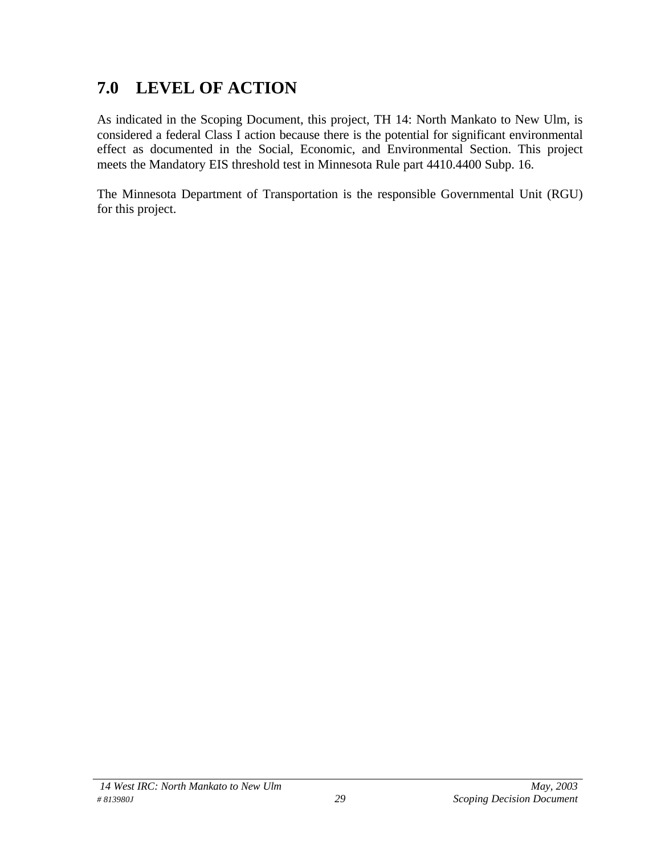## **7.0 LEVEL OF ACTION**

As indicated in the Scoping Document, this project, TH 14: North Mankato to New Ulm, is considered a federal Class I action because there is the potential for significant environmental effect as documented in the Social, Economic, and Environmental Section. This project meets the Mandatory EIS threshold test in Minnesota Rule part 4410.4400 Subp. 16.

The Minnesota Department of Transportation is the responsible Governmental Unit (RGU) for this project.